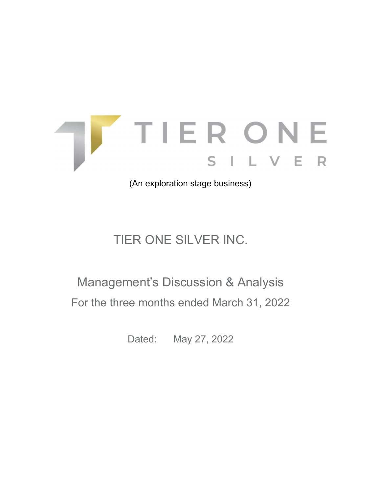

(An exploration stage business)

# TIER ONE SILVER INC.

# Management's Discussion & Analysis For the three months ended March 31, 2022

Dated: May 27, 2022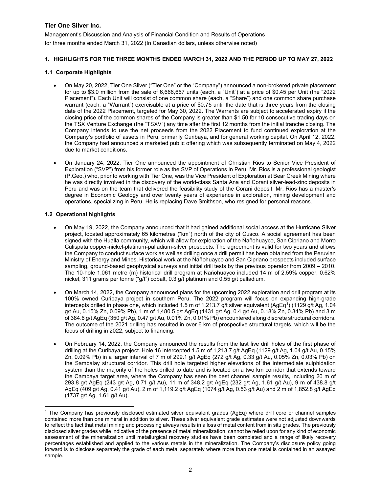# 1. HIGHLIGHTS FOR THE THREE MONTHS ENDED MARCH 31, 2022 AND THE PERIOD UP TO MAY 27, 2022

# 1.1 Corporate Highlights

- On May 20, 2022, Tier One Silver ("Tier One" or the "Company") announced a non-brokered private placement for up to \$3.0 million from the sale of 6,666,667 units (each, a "Unit") at a price of \$0.45 per Unit (the "2022 Placement"). Each Unit will consist of one common share (each, a "Share") and one common share purchase warrant (each, a "Warrant") exercisable at a price of \$0.75 until the date that is three years from the closing date of the 2022 Placement, targeted for May 30, 2022. The Warrants are subject to accelerated expiry if the closing price of the common shares of the Company is greater than \$1.50 for 10 consecutive trading days on the TSX Venture Exchange (the "TSXV") any time after the first 12 months from the initial tranche closing. The Company intends to use the net proceeds from the 2022 Placement to fund continued exploration at the Company's portfolio of assets in Peru, primarily Curibaya, and for general working capital. On April 12, 2022, the Company had announced a marketed public offering which was subsequently terminated on May 4, 2022 due to market conditions.
- On January 24, 2022, Tier One announced the appointment of Christian Rios to Senior Vice President of Exploration ("SVP") from his former role as the SVP of Operations in Peru. Mr. Rios is a professional geologist (P.Geo.) who, prior to working with Tier One, was the Vice President of Exploration at Bear Creek Mining where he was directly involved in the discovery of the world-class Santa Ana and Corani silver-lead-zinc deposits in Peru and was on the team that delivered the feasibility study of the Corani deposit. Mr. Rios has a master's degree in Economic Geology and over twenty years of experience in exploration, mining development and operations, specializing in Peru. He is replacing Dave Smithson, who resigned for personal reasons.

# 1.2 Operational highlights

- On May 19, 2022, the Company announced that it had gained additional social access at the Hurricane Silver project, located approximately 65 kilometres ("km") north of the city of Cusco. A social agreement has been signed with the Hualla community, which will allow for exploration of the Ñañohuayco, San Cipriano and Morro Culispata copper-nickel-platinum-palladium-silver prospects. The agreement is valid for two years and allows the Company to conduct surface work as well as drilling once a drill permit has been obtained from the Peruvian Ministry of Energy and Mines. Historical work at the Ñañohuayco and San Cipriano prospects included surface sampling, ground-based geophysical surveys and initial drill tests by the previous operator from 2009 – 2010. The 10-hole 1,061 metre (m) historical drill program at Ñañohuayco included 14 m of 2.59% copper, 0.62% nickel, 311 grams per tonne ("g/t") cobalt, 0.3 g/t platinum and 0.55 g/t palladium.
- On March 14, 2022, the Company announced plans for the upcoming 2022 exploration and drill program at its 100% owned Curibaya project in southern Peru. The 2022 program will focus on expanding high-grade intercepts drilled in phase one, which included 1.5 m of 1,213.7 g/t silver equivalent (AgEq<sup>1</sup>) (1129 g/t Ag, 1.04 g/t Au, 0.15% Zn, 0.09% Pb), 1 m of 1,480.5 g/t AgEq (1431 g/t Ag, 0.4 g/t Au, 0.18% Zn, 0.34% Pb) and 3 m of 384.6 g/t AgEq (350 g/t Ag, 0.47 g/t Au, 0.01% Zn, 0.01% Pb) encountered along discrete structural corridors. The outcome of the 2021 drilling has resulted in over 6 km of prospective structural targets, which will be the focus of drilling in 2022, subject to financing.
- On February 14, 2022, the Company announced the results from the last five drill holes of the first phase of drilling at the Curibaya project. Hole 16 intercepted 1.5 m of 1,213.7 g/t AgEq (1129 g/t Ag, 1.04 g/t Au, 0.15% Zn, 0.09% Pb) in a larger interval of 7 m of 299.1 g/t AgEq (272 g/t Ag, 0.33 g/t Au, 0.05% Zn, 0.03% Pb) on the Sambalay structural corridor. This drill hole targeted higher elevations of the intermediate sulphidation system than the majority of the holes drilled to date and is located on a two km corridor that extends toward the Cambaya target area, where the Company has seen the best channel sample results, including 20 m of 293.8 g/t AgEq (243 g/t Ag, 0.71 g/t Au), 11 m of 348.2 g/t AgEq (232 g/t Ag, 1.61 g/t Au), 9 m of 438.8 g/t AgEq (409 g/t Ag, 0.41 g/t Au), 2 m of 1,119.2 g/t AgEq (1074 g/t Ag, 0.53 g/t Au) and 2 m of 1,852.8 g/t AgEq (1737 g/t Ag, 1.61 g/t Au).

<sup>1</sup> The Company has previously disclosed estimated silver equivalent grades (AgEq) where drill core or channel samples contained more than one mineral in addition to silver. These silver equivalent grade estimates were not adjusted downwards to reflect the fact that metal mining and processing always results in a loss of metal content from in situ grades. The previously disclosed silver grades while indicative of the presence of metal mineralization, cannot be relied upon for any kind of economic assessment of the mineralization until metallurgical recovery studies have been completed and a range of likely recovery percentages established and applied to the various metals in the mineralization. The Company's disclosure policy going forward is to disclose separately the grade of each metal separately where more than one metal is contained in an assayed sample.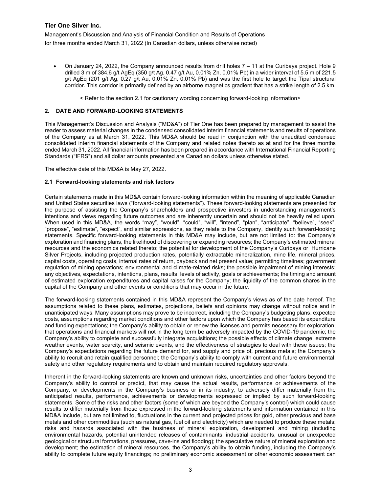On January 24, 2022, the Company announced results from drill holes 7 – 11 at the Curibaya project. Hole 9 drilled 3 m of 384.6 g/t AgEq (350 g/t Ag, 0.47 g/t Au, 0.01% Zn, 0.01% Pb) in a wider interval of 5.5 m of 221.5 g/t AgEq (201 g/t Ag, 0.27 g/t Au, 0.01% Zn, 0.01% Pb) and was the first hole to target the Tipal structural corridor. This corridor is primarily defined by an airborne magnetics gradient that has a strike length of 2.5 km.

< Refer to the section 2.1 for cautionary wording concerning forward-looking information>

## 2. DATE AND FORWARD-LOOKING STATEMENTS

This Management's Discussion and Analysis ("MD&A") of Tier One has been prepared by management to assist the reader to assess material changes in the condensed consolidated interim financial statements and results of operations of the Company as at March 31, 2022. This MD&A should be read in conjunction with the unaudited condensed consolidated interim financial statements of the Company and related notes thereto as at and for the three months ended March 31, 2022. All financial information has been prepared in accordance with International Financial Reporting Standards ("IFRS") and all dollar amounts presented are Canadian dollars unless otherwise stated.

The effective date of this MD&A is May 27, 2022.

#### 2.1 Forward-looking statements and risk factors

Certain statements made in this MD&A contain forward-looking information within the meaning of applicable Canadian and United States securities laws ("forward-looking statements"). These forward-looking statements are presented for the purpose of assisting the Company's shareholders and prospective investors in understanding management's intentions and views regarding future outcomes and are inherently uncertain and should not be heavily relied upon. When used in this MD&A, the words "may", "would", "could", "will", "intend", "plan", "anticipate", "believe", "seek", "propose", "estimate", "expect", and similar expressions, as they relate to the Company, identify such forward-looking statements. Specific forward-looking statements in this MD&A may include, but are not limited to: the Company's exploration and financing plans, the likelihood of discovering or expanding resources; the Company's estimated mineral resources and the economics related thereto; the potential for development of the Company's Curibaya or Hurricane Silver Projects, including projected production rates, potentially extractable mineralization, mine life, mineral prices, capital costs, operating costs, internal rates of return, payback and net present value; permitting timelines; government regulation of mining operations; environmental and climate-related risks; the possible impairment of mining interests; any objectives, expectations, intentions, plans, results, levels of activity, goals or achievements; the timing and amount of estimated exploration expenditures and capital raises for the Company; the liquidity of the common shares in the capital of the Company and other events or conditions that may occur in the future.

The forward-looking statements contained in this MD&A represent the Company's views as of the date hereof. The assumptions related to these plans, estimates, projections, beliefs and opinions may change without notice and in unanticipated ways. Many assumptions may prove to be incorrect, including the Company's budgeting plans, expected costs, assumptions regarding market conditions and other factors upon which the Company has based its expenditure and funding expectations; the Company's ability to obtain or renew the licenses and permits necessary for exploration; that operations and financial markets will not in the long term be adversely impacted by the COVID-19 pandemic; the Company's ability to complete and successfully integrate acquisitions; the possible effects of climate change, extreme weather events, water scarcity, and seismic events, and the effectiveness of strategies to deal with these issues; the Company's expectations regarding the future demand for, and supply and price of, precious metals; the Company's ability to recruit and retain qualified personnel; the Company's ability to comply with current and future environmental, safety and other regulatory requirements and to obtain and maintain required regulatory approvals.

Inherent in the forward-looking statements are known and unknown risks, uncertainties and other factors beyond the Company's ability to control or predict, that may cause the actual results, performance or achievements of the Company, or developments in the Company's business or in its industry, to adversely differ materially from the anticipated results, performance, achievements or developments expressed or implied by such forward-looking statements. Some of the risks and other factors (some of which are beyond the Company's control) which could cause results to differ materially from those expressed in the forward-looking statements and information contained in this MD&A include, but are not limited to, fluctuations in the current and projected prices for gold, other precious and base metals and other commodities (such as natural gas, fuel oil and electricity) which are needed to produce these metals; risks and hazards associated with the business of mineral exploration, development and mining (including environmental hazards, potential unintended releases of contaminants, industrial accidents, unusual or unexpected geological or structural formations, pressures, cave-ins and flooding); the speculative nature of mineral exploration and development; the estimation of mineral resources, the Company's ability to obtain funding, including the Company's ability to complete future equity financings; no preliminary economic assessment or other economic assessment can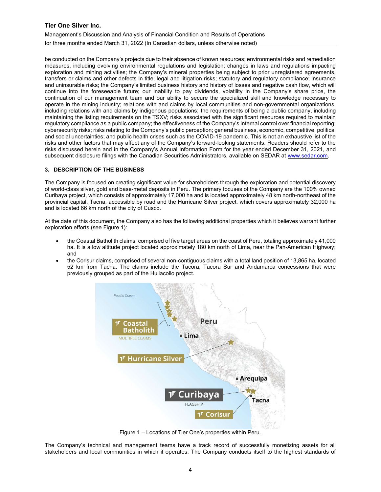Management's Discussion and Analysis of Financial Condition and Results of Operations for three months ended March 31, 2022 (In Canadian dollars, unless otherwise noted)

be conducted on the Company's projects due to their absence of known resources; environmental risks and remediation measures, including evolving environmental regulations and legislation; changes in laws and regulations impacting exploration and mining activities; the Company's mineral properties being subject to prior unregistered agreements, transfers or claims and other defects in title; legal and litigation risks; statutory and regulatory compliance; insurance and uninsurable risks; the Company's limited business history and history of losses and negative cash flow, which will continue into the foreseeable future; our inability to pay dividends, volatility in the Company's share price, the continuation of our management team and our ability to secure the specialized skill and knowledge necessary to operate in the mining industry; relations with and claims by local communities and non-governmental organizations, including relations with and claims by indigenous populations; the requirements of being a public company, including maintaining the listing requirements on the TSXV; risks associated with the significant resources required to maintain regulatory compliance as a public company; the effectiveness of the Company's internal control over financial reporting; cybersecurity risks; risks relating to the Company's public perception; general business, economic, competitive, political and social uncertainties; and public health crises such as the COVID-19 pandemic. This is not an exhaustive list of the risks and other factors that may affect any of the Company's forward-looking statements. Readers should refer to the risks discussed herein and in the Company's Annual Information Form for the year ended December 31, 2021, and subsequent disclosure filings with the Canadian Securities Administrators, available on SEDAR at www.sedar.com.

# 3. DESCRIPTION OF THE BUSINESS

The Company is focused on creating significant value for shareholders through the exploration and potential discovery of world-class silver, gold and base-metal deposits in Peru. The primary focuses of the Company are the 100% owned Curibaya project, which consists of approximately 17,000 ha and is located approximately 48 km north-northeast of the provincial capital, Tacna, accessible by road and the Hurricane Silver project, which covers approximately 32,000 ha and is located 66 km north of the city of Cusco.

At the date of this document, the Company also has the following additional properties which it believes warrant further exploration efforts (see Figure 1):

- the Coastal Batholith claims, comprised of five target areas on the coast of Peru, totaling approximately 41,000 ha. It is a low altitude project located approximately 180 km north of Lima, near the Pan-American Highway; and
- the Corisur claims, comprised of several non-contiguous claims with a total land position of 13,865 ha, located 52 km from Tacna. The claims include the Tacora, Tacora Sur and Andamarca concessions that were previously grouped as part of the Huilacollo project.



Figure 1 – Locations of Tier One's properties within Peru.

The Company's technical and management teams have a track record of successfully monetizing assets for all stakeholders and local communities in which it operates. The Company conducts itself to the highest standards of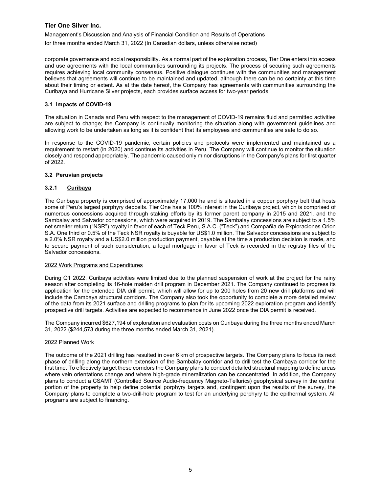Management's Discussion and Analysis of Financial Condition and Results of Operations for three months ended March 31, 2022 (In Canadian dollars, unless otherwise noted)

corporate governance and social responsibility. As a normal part of the exploration process, Tier One enters into access and use agreements with the local communities surrounding its projects. The process of securing such agreements requires achieving local community consensus. Positive dialogue continues with the communities and management believes that agreements will continue to be maintained and updated, although there can be no certainty at this time about their timing or extent. As at the date hereof, the Company has agreements with communities surrounding the Curibaya and Hurricane Silver projects, each provides surface access for two-year periods.

## 3.1 Impacts of COVID-19

The situation in Canada and Peru with respect to the management of COVID-19 remains fluid and permitted activities are subject to change; the Company is continually monitoring the situation along with government guidelines and allowing work to be undertaken as long as it is confident that its employees and communities are safe to do so.

In response to the COVID-19 pandemic, certain policies and protocols were implemented and maintained as a requirement to restart (in 2020) and continue its activities in Peru. The Company will continue to monitor the situation closely and respond appropriately. The pandemic caused only minor disruptions in the Company's plans for first quarter of 2022.

#### 3.2 Peruvian projects

# 3.2.1 Curibaya

The Curibaya property is comprised of approximately 17,000 ha and is situated in a copper porphyry belt that hosts some of Peru's largest porphyry deposits. Tier One has a 100% interest in the Curibaya project, which is comprised of numerous concessions acquired through staking efforts by its former parent company in 2015 and 2021, and the Sambalay and Salvador concessions, which were acquired in 2019. The Sambalay concessions are subject to a 1.5% net smelter return ("NSR") royalty in favor of each of Teck Peru, S.A.C. ("Teck") and Compañia de Exploraciones Orion S.A. One third or 0.5% of the Teck NSR royalty is buyable for US\$1.0 million. The Salvador concessions are subject to a 2.0% NSR royalty and a US\$2.0 million production payment, payable at the time a production decision is made, and to secure payment of such consideration, a legal mortgage in favor of Teck is recorded in the registry files of the Salvador concessions.

#### 2022 Work Programs and Expenditures

During Q1 2022, Curibaya activities were limited due to the planned suspension of work at the project for the rainy season after completing its 16-hole maiden drill program in December 2021. The Company continued to progress its application for the extended DIA drill permit, which will allow for up to 200 holes from 20 new drill platforms and will include the Cambaya structural corridors. The Company also took the opportunity to complete a more detailed review of the data from its 2021 surface and drilling programs to plan for its upcoming 2022 exploration program and identify prospective drill targets. Activities are expected to recommence in June 2022 once the DIA permit is received.

The Company incurred \$627,194 of exploration and evaluation costs on Curibaya during the three months ended March 31, 2022 (\$244,573 during the three months ended March 31, 2021).

#### 2022 Planned Work

The outcome of the 2021 drilling has resulted in over 6 km of prospective targets. The Company plans to focus its next phase of drilling along the northern extension of the Sambalay corridor and to drill test the Cambaya corridor for the first time. To effectively target these corridors the Company plans to conduct detailed structural mapping to define areas where vein orientations change and where high-grade mineralization can be concentrated. In addition, the Company plans to conduct a CSAMT (Controlled Source Audio-frequency Magneto-Tellurics) geophysical survey in the central portion of the property to help define potential porphyry targets and, contingent upon the results of the survey, the Company plans to complete a two-drill-hole program to test for an underlying porphyry to the epithermal system. All programs are subject to financing.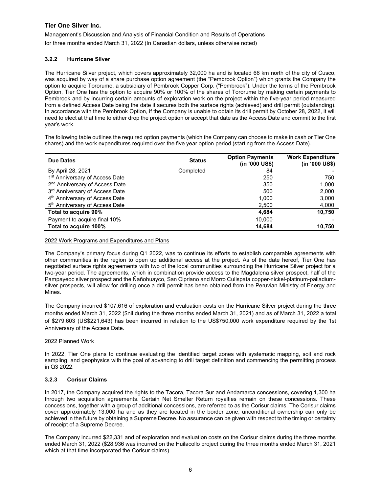# 3.2.2 Hurricane Silver

The Hurricane Silver project, which covers approximately 32,000 ha and is located 66 km north of the city of Cusco, was acquired by way of a share purchase option agreement (the "Pembrook Option") which grants the Company the option to acquire Tororume, a subsidiary of Pembrook Copper Corp. ("Pembrook"). Under the terms of the Pembrook Option, Tier One has the option to acquire 90% or 100% of the shares of Tororume by making certain payments to Pembrook and by incurring certain amounts of exploration work on the project within the five-year period measured from a defined Access Date being the date it secures both the surface rights (achieved) and drill permit (outstanding). In accordance with the Pembrook Option, if the Company is unable to obtain its drill permit by October 28, 2022, it will need to elect at that time to either drop the project option or accept that date as the Access Date and commit to the first year's work.

The following table outlines the required option payments (which the Company can choose to make in cash or Tier One shares) and the work expenditures required over the five year option period (starting from the Access Date).

| Due Dates                                  | <b>Status</b> | <b>Option Payments</b><br>(in '000 US\$) | <b>Work Expenditure</b><br>(in '000 US\$) |
|--------------------------------------------|---------------|------------------------------------------|-------------------------------------------|
| By April 28, 2021                          | Completed     | 84                                       |                                           |
| 1 <sup>st</sup> Anniversary of Access Date |               | 250                                      | 750                                       |
| 2 <sup>nd</sup> Anniversary of Access Date |               | 350                                      | 1,000                                     |
| 3rd Anniversary of Access Date             |               | 500                                      | 2,000                                     |
| 4 <sup>th</sup> Anniversary of Access Date |               | 1,000                                    | 3,000                                     |
| 5 <sup>th</sup> Anniversary of Access Date |               | 2,500                                    | 4,000                                     |
| Total to acquire 90%                       |               | 4,684                                    | 10,750                                    |
| Payment to acquire final 10%               |               | 10,000                                   |                                           |
| Total to acquire 100%                      |               | 14,684                                   | 10,750                                    |

#### 2022 Work Programs and Expenditures and Plans

The Company's primary focus during Q1 2022, was to continue its efforts to establish comparable agreements with other communities in the region to open up additional access at the project. As of the date hereof, Tier One has negotiated surface rights agreements with two of the local communities surrounding the Hurricane Silver project for a two-year period. The agreements, which in combination provide access to the Magdalena silver prospect, half of the Pampayeoc silver prospect and the Ñañohuayco, San Cipriano and Morro Culispata copper-nickel-platinum-palladiumsilver prospects, will allow for drilling once a drill permit has been obtained from the Peruvian Ministry of Energy and Mines.

The Company incurred \$107,616 of exploration and evaluation costs on the Hurricane Silver project during the three months ended March 31, 2022 (\$nil during the three months ended March 31, 2021) and as of March 31, 2022 a total of \$279,603 (US\$221,643) has been incurred in relation to the US\$750,000 work expenditure required by the 1st Anniversary of the Access Date.

#### 2022 Planned Work

In 2022, Tier One plans to continue evaluating the identified target zones with systematic mapping, soil and rock sampling, and geophysics with the goal of advancing to drill target definition and commencing the permitting process in Q3 2022.

# 3.2.3 Corisur Claims

In 2017, the Company acquired the rights to the Tacora, Tacora Sur and Andamarca concessions, covering 1,300 ha through two acquisition agreements. Certain Net Smelter Return royalties remain on these concessions. These concessions, together with a group of additional concessions, are referred to as the Corisur claims. The Corisur claims cover approximately 13,000 ha and as they are located in the border zone, unconditional ownership can only be achieved in the future by obtaining a Supreme Decree. No assurance can be given with respect to the timing or certainty of receipt of a Supreme Decree.

The Company incurred \$22,331 and of exploration and evaluation costs on the Corisur claims during the three months ended March 31, 2022 (\$28,936 was incurred on the Huilacollo project during the three months ended March 31, 2021 which at that time incorporated the Corisur claims).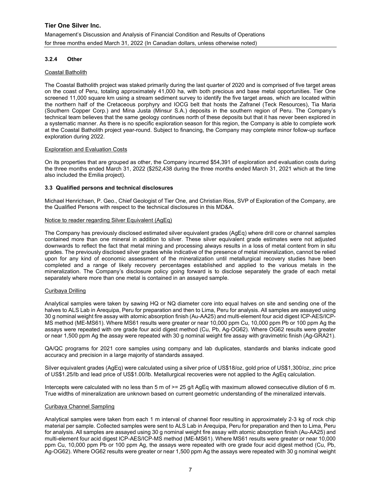# 3.2.4 Other

## Coastal Batholith

The Coastal Batholith project was staked primarily during the last quarter of 2020 and is comprised of five target areas on the coast of Peru, totaling approximately 41,000 ha, with both precious and base metal opportunities. Tier One screened 11,000 square km using a stream sediment survey to identify the five target areas, which are located within the northern half of the Cretaceous porphyry and IOCG belt that hosts the Zafranel (Teck Resources), Tia Maria (Southern Copper Corp.) and Mina Justa (Minsur S.A.) deposits in the southern region of Peru. The Company's technical team believes that the same geology continues north of these deposits but that it has never been explored in a systematic manner. As there is no specific exploration season for this region, the Company is able to complete work at the Coastal Batholith project year-round. Subject to financing, the Company may complete minor follow-up surface exploration during 2022.

## Exploration and Evaluation Costs

On its properties that are grouped as other, the Company incurred \$54,391 of exploration and evaluation costs during the three months ended March 31, 2022 (\$252,438 during the three months ended March 31, 2021 which at the time also included the Emilia project).

# 3.3 Qualified persons and technical disclosures

Michael Henrichsen, P. Geo., Chief Geologist of Tier One, and Christian Rios, SVP of Exploration of the Company, are the Qualified Persons with respect to the technical disclosures in this MD&A.

## Notice to reader regarding Silver Equivalent (AgEq)

The Company has previously disclosed estimated silver equivalent grades (AgEq) where drill core or channel samples contained more than one mineral in addition to silver. These silver equivalent grade estimates were not adjusted downwards to reflect the fact that metal mining and processing always results in a loss of metal content from in situ grades. The previously disclosed silver grades while indicative of the presence of metal mineralization, cannot be relied upon for any kind of economic assessment of the mineralization until metallurgical recovery studies have been completed and a range of likely recovery percentages established and applied to the various metals in the mineralization. The Company's disclosure policy going forward is to disclose separately the grade of each metal separately where more than one metal is contained in an assayed sample.

# Curibaya Drilling

Analytical samples were taken by sawing HQ or NQ diameter core into equal halves on site and sending one of the halves to ALS Lab in Arequipa, Peru for preparation and then to Lima, Peru for analysis. All samples are assayed using 30 g nominal weight fire assay with atomic absorption finish (Au-AA25) and multi-element four acid digest ICP-AES/ICP-MS method (ME-MS61). Where MS61 results were greater or near 10,000 ppm Cu, 10,000 ppm Pb or 100 ppm Ag the assays were repeated with ore grade four acid digest method (Cu, Pb, Ag-OG62). Where OG62 results were greater or near 1,500 ppm Ag the assay were repeated with 30 g nominal weight fire assay with gravimetric finish (Ag-GRA21).

QA/QC programs for 2021 core samples using company and lab duplicates, standards and blanks indicate good accuracy and precision in a large majority of standards assayed.

Silver equivalent grades (AgEq) were calculated using a silver price of US\$18/oz, gold price of US\$1,300/oz, zinc price of US\$1.25/lb and lead price of US\$1.00/lb. Metallurgical recoveries were not applied to the AgEq calculation.

Intercepts were calculated with no less than 5 m of  $>= 25$  g/t AgEq with maximum allowed consecutive dilution of 6 m. True widths of mineralization are unknown based on current geometric understanding of the mineralized intervals.

#### Curibaya Channel Sampling

Analytical samples were taken from each 1 m interval of channel floor resulting in approximately 2-3 kg of rock chip material per sample. Collected samples were sent to ALS Lab in Arequipa, Peru for preparation and then to Lima, Peru for analysis. All samples are assayed using 30 g nominal weight fire assay with atomic absorption finish (Au-AA25) and multi-element four acid digest ICP-AES/ICP-MS method (ME-MS61). Where MS61 results were greater or near 10,000 ppm Cu, 10,000 ppm Pb or 100 ppm Ag, the assays were repeated with ore grade four acid digest method (Cu, Pb, Ag-OG62). Where OG62 results were greater or near 1,500 ppm Ag the assays were repeated with 30 g nominal weight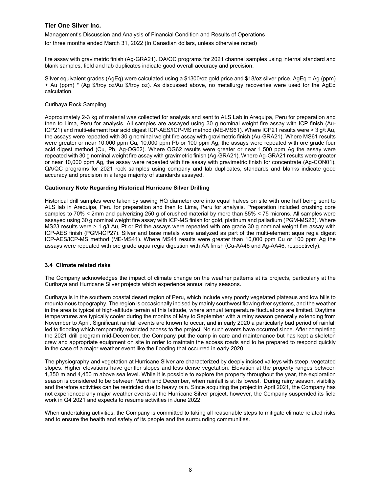Management's Discussion and Analysis of Financial Condition and Results of Operations for three months ended March 31, 2022 (In Canadian dollars, unless otherwise noted)

fire assay with gravimetric finish (Ag-GRA21). QA/QC programs for 2021 channel samples using internal standard and blank samples, field and lab duplicates indicate good overall accuracy and precision.

Silver equivalent grades (AgEq) were calculated using a \$1300/oz gold price and \$18/oz silver price. AgEq = Ag (ppm) + Au (ppm) \* (Ag \$/troy oz/Au \$/troy oz). As discussed above, no metallurgy recoveries were used for the AgEq calculation.

#### Curibaya Rock Sampling

Approximately 2-3 kg of material was collected for analysis and sent to ALS Lab in Arequipa, Peru for preparation and then to Lima, Peru for analysis. All samples are assayed using 30 g nominal weight fire assay with ICP finish (Au-ICP21) and multi-element four acid digest ICP-AES/ICP-MS method (ME-MS61). Where ICP21 results were > 3 g/t Au, the assays were repeated with 30 g nominal weight fire assay with gravimetric finish (Au-GRA21). Where MS61 results were greater or near 10,000 ppm Cu, 10,000 ppm Pb or 100 ppm Ag, the assays were repeated with ore grade four acid digest method (Cu, Pb, Ag-OG62). Where OG62 results were greater or near 1,500 ppm Ag the assay were repeated with 30 g nominal weight fire assay with gravimetric finish (Ag-GRA21). Where Ag-GRA21 results were greater or near 10,000 ppm Ag, the assay were repeated with fire assay with gravimetric finish for concentrate (Ag-CON01). QA/QC programs for 2021 rock samples using company and lab duplicates, standards and blanks indicate good accuracy and precision in a large majority of standards assayed.

## Cautionary Note Regarding Historical Hurricane Silver Drilling

Historical drill samples were taken by sawing HQ diameter core into equal halves on site with one half being sent to ALS lab in Arequipa, Peru for preparation and then to Lima, Peru for analysis. Preparation included crushing core samples to 70% < 2mm and pulverizing 250 g of crushed material by more than 85% < 75 microns. All samples were assayed using 30 g nominal weight fire assay with ICP-MS finish for gold, platinum and palladium (PGM-MS23). Where MS23 results were > 1 g/t Au, Pt or Pd the assays were repeated with ore grade 30 g nominal weight fire assay with ICP-AES finish (PGM-ICP27). Silver and base metals were analyzed as part of the multi-element aqua regia digest ICP-AES/ICP-MS method (ME-MS41). Where MS41 results were greater than 10,000 ppm Cu or 100 ppm Ag the assays were repeated with ore grade aqua regia digestion with AA finish (Cu-AA46 and Ag-AA46, respectively).

#### 3.4 Climate related risks

The Company acknowledges the impact of climate change on the weather patterns at its projects, particularly at the Curibaya and Hurricane Silver projects which experience annual rainy seasons.

Curibaya is in the southern coastal desert region of Peru, which include very poorly vegetated plateaus and low hills to mountainous topography. The region is occasionally incised by mainly southwest flowing river systems, and the weather in the area is typical of high-altitude terrain at this latitude, where annual temperature fluctuations are limited. Daytime temperatures are typically cooler during the months of May to September with a rainy season generally extending from November to April. Significant rainfall events are known to occur, and in early 2020 a particularly bad period of rainfall led to flooding which temporarily restricted access to the project. No such events have occurred since. After completing the 2021 drill program mid-December, the Company put the camp in care and maintenance but has kept a skeleton crew and appropriate equipment on site in order to maintain the access roads and to be prepared to respond quickly in the case of a major weather event like the flooding that occurred in early 2020.

The physiography and vegetation at Hurricane Silver are characterized by deeply incised valleys with steep, vegetated slopes. Higher elevations have gentler slopes and less dense vegetation. Elevation at the property ranges between 1,350 m and 4,450 m above sea level. While it is possible to explore the property throughout the year, the exploration season is considered to be between March and December, when rainfall is at its lowest. During rainy season, visibility and therefore activities can be restricted due to heavy rain. Since acquiring the project in April 2021, the Company has not experienced any major weather events at the Hurricane Silver project, however, the Company suspended its field work in Q4 2021 and expects to resume activities in June 2022.

When undertaking activities, the Company is committed to taking all reasonable steps to mitigate climate related risks and to ensure the health and safety of its people and the surrounding communities.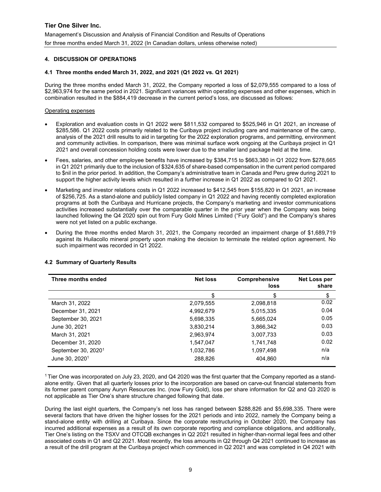## 4. DISCUSSION OF OPERATIONS

#### 4.1 Three months ended March 31, 2022, and 2021 (Q1 2022 vs. Q1 2021)

During the three months ended March 31, 2022, the Company reported a loss of \$2,079,555 compared to a loss of \$2,963,974 for the same period in 2021. Significant variances within operating expenses and other expenses, which in combination resulted in the \$884,419 decrease in the current period's loss, are discussed as follows:

#### Operating expenses

- Exploration and evaluation costs in Q1 2022 were \$811,532 compared to \$525,946 in Q1 2021, an increase of \$285,586. Q1 2022 costs primarily related to the Curibaya project including care and maintenance of the camp, analysis of the 2021 drill results to aid in targeting for the 2022 exploration programs, and permitting, environment and community activities. In comparison, there was minimal surface work ongoing at the Curibaya project in Q1 2021 and overall concession holding costs were lower due to the smaller land package held at the time.
- Fees, salaries, and other employee benefits have increased by \$384,715 to \$663,380 in Q1 2022 from \$278,665 in Q1 2021 primarily due to the inclusion of \$324,635 of share-based compensation in the current period compared to \$nil in the prior period. In addition, the Company's administrative team in Canada and Peru grew during 2021 to support the higher activity levels which resulted in a further increase in Q1 2022 as compared to Q1 2021.
- Marketing and investor relations costs in Q1 2022 increased to \$412,545 from \$155,820 in Q1 2021, an increase of \$256,725. As a stand-alone and publicly listed company in Q1 2022 and having recently completed exploration programs at both the Curibaya and Hurricane projects, the Company's marketing and investor communications activities increased substantially over the comparable quarter in the prior year when the Company was being launched following the Q4 2020 spin out from Fury Gold Mines Limited ("Fury Gold") and the Company's shares were not yet listed on a public exchange.
- During the three months ended March 31, 2021, the Company recorded an impairment charge of \$1,689,719 against its Huilacollo mineral property upon making the decision to terminate the related option agreement. No such impairment was recorded in Q1 2022.

#### 4.2 Summary of Quarterly Results

| Three months ended              | <b>Net loss</b> | Comprehensive<br>loss | Net Loss per<br>share |
|---------------------------------|-----------------|-----------------------|-----------------------|
|                                 | \$              | \$                    | \$                    |
| March 31, 2022                  | 2,079,555       | 2,098,818             | 0.02                  |
| December 31, 2021               | 4,992,679       | 5,015,335             | 0.04                  |
| September 30, 2021              | 5,698,335       | 5,665,024             | 0.05                  |
| June 30, 2021                   | 3,830,214       | 3,866,342             | 0.03                  |
| March 31, 2021                  | 2,963,974       | 3,007,733             | 0.03                  |
| December 31, 2020               | 1,547,047       | 1,741,748             | 0.02                  |
| September 30, 2020 <sup>1</sup> | 1,032,786       | 1,097,498             | n/a                   |
| June 30, 2020 <sup>1</sup>      | 288,826         | 404,860               | n/a                   |

1 Tier One was incorporated on July 23, 2020, and Q4 2020 was the first quarter that the Company reported as a standalone entity. Given that all quarterly losses prior to the incorporation are based on carve-out financial statements from its former parent company Auryn Resources Inc. (now Fury Gold), loss per share information for Q2 and Q3 2020 is not applicable as Tier One's share structure changed following that date.

During the last eight quarters, the Company's net loss has ranged between \$288,826 and \$5,698,335. There were several factors that have driven the higher losses for the 2021 periods and into 2022, namely the Company being a stand-alone entity with drilling at Curibaya. Since the corporate restructuring in October 2020, the Company has incurred additional expenses as a result of its own corporate reporting and compliance obligations, and additionally, Tier One's listing on the TSXV and OTCQB exchanges in Q2 2021 resulted in higher-than-normal legal fees and other associated costs in Q1 and Q2 2021. Most recently, the loss amounts in Q2 through Q4 2021 continued to increase as a result of the drill program at the Curibaya project which commenced in Q2 2021 and was completed in Q4 2021 with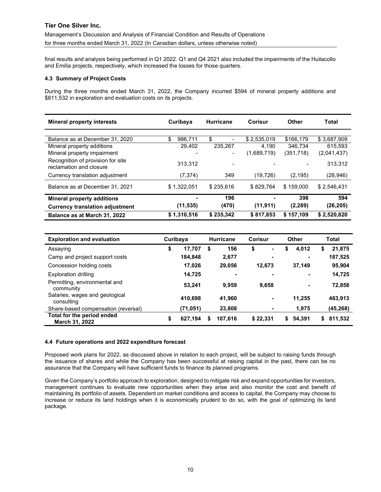Management's Discussion and Analysis of Financial Condition and Results of Operations for three months ended March 31, 2022 (In Canadian dollars, unless otherwise noted)

final results and analysis being performed in Q1 2022. Q1 and Q4 2021 also included the impairments of the Huilacollo and Emilia projects, respectively, which increased the losses for those quarters.

## 4.3 Summary of Project Costs

During the three months ended March 31, 2022, the Company incurred \$594 of mineral property additions and \$811,532 in exploration and evaluation costs on its projects.

| <b>Mineral property interests</b>                            | Curibaya      | <b>Hurricane</b>         | Corisur     | Other     | Total       |
|--------------------------------------------------------------|---------------|--------------------------|-------------|-----------|-------------|
|                                                              |               |                          |             |           |             |
| Balance as at December 31, 2020                              | \$<br>986.711 | \$                       | \$2,535,019 | \$166,179 | \$3,687,909 |
| Mineral property additions                                   | 29.402        | 235.267                  | 4.190       | 346.734   | 615.593     |
| Mineral property impairment                                  |               | $\overline{\phantom{0}}$ | (1,689,719) | (351,718) | (2,041,437) |
| Recognition of provision for site<br>reclamation and closure | 313.312       |                          |             |           | 313.312     |
| Currency translation adjustment                              | (7, 374)      | 349                      | (19.726)    | (2, 195)  | (28, 946)   |
| Balance as at December 31, 2021                              | \$1.322.051   | \$235.616                | \$829.764   | \$159,000 | \$2,546,431 |
| <b>Mineral property additions</b>                            |               | 196                      |             | 398       | 594         |
| <b>Currency translation adjustment</b>                       | (11, 535)     | (470)                    | (11, 911)   | (2, 289)  | (26, 205)   |
| Balance as at March 31, 2022                                 | \$1,310,516   | \$235,342                | \$817,853   | \$157,109 | \$2,520,820 |

| <b>Exploration and evaluation</b>            | Curibaya      |    | <b>Hurricane</b> | <b>Corisur</b> |                          |    | Other          |    | Total    |
|----------------------------------------------|---------------|----|------------------|----------------|--------------------------|----|----------------|----|----------|
| Assaying                                     | \$<br>17,707  | \$ | 156              | \$             |                          | S  | 4,012          | 5  | 21,875   |
| Camp and project support costs               | 184,848       |    | 2,677            |                | $\overline{\phantom{0}}$ |    |                |    | 187,525  |
| Concession holding costs                     | 17,026        |    | 29,056           |                | 12,673                   |    | 37,149         |    | 95,904   |
| <b>Exploration drilling</b>                  | 14,725        |    | ٠                |                | $\overline{\phantom{a}}$ |    |                |    | 14,725   |
| Permitting, environmental and<br>community   | 53.241        |    | 9.959            |                | 9,658                    |    | $\blacksquare$ |    | 72,858   |
| Salaries, wages and geological<br>consulting | 410.698       |    | 41,960           |                | ۰                        |    | 11.255         |    | 463,913  |
| Share-based compensation (reversal)          | (71, 051)     |    | 23,808           |                | ۰                        |    | 1,975          |    | (45,268) |
| Total for the period ended<br>March 31, 2022 | \$<br>627,194 | S  | 107,616          |                | \$22,331                 | s. | 54,391         | \$ | 811,532  |

#### 4.4 Future operations and 2022 expenditure forecast

Proposed work plans for 2022, as discussed above in relation to each project, will be subject to raising funds through the issuance of shares and while the Company has been successful at raising capital in the past, there can be no assurance that the Company will have sufficient funds to finance its planned programs.

Given the Company's portfolio approach to exploration, designed to mitigate risk and expand opportunities for investors, management continues to evaluate new opportunities when they arise and also monitor the cost and benefit of maintaining its portfolio of assets. Dependent on market conditions and access to capital, the Company may choose to increase or reduce its land holdings when it is economically prudent to do so, with the goal of optimizing its land package.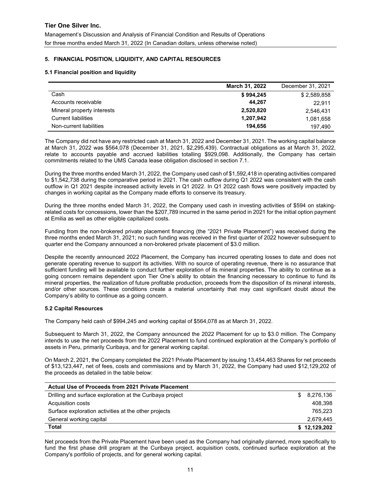# 5. FINANCIAL POSITION, LIQUIDITY, AND CAPITAL RESOURCES

## 5.1 Financial position and liquidity

|                            | March 31, 2022 | December 31, 2021 |
|----------------------------|----------------|-------------------|
| Cash                       | \$994,245      | \$2,589,858       |
| Accounts receivable        | 44.267         | 22.911            |
| Mineral property interests | 2,520,820      | 2,546,431         |
| <b>Current liabilities</b> | 1,207,942      | 1,081,658         |
| Non-current liabilities    | 194.656        | 197.490           |

The Company did not have any restricted cash at March 31, 2022 and December 31, 2021. The working capital balance at March 31, 2022 was \$564,078 (December 31, 2021, \$2,295,439). Contractual obligations as at March 31, 2022, relate to accounts payable and accrued liabilities totalling \$929,098. Additionally, the Company has certain commitments related to the UMS Canada lease obligation disclosed in section 7.1.

During the three months ended March 31, 2022, the Company used cash of \$1,592,418 in operating activities compared to \$1,542,738 during the comparative period in 2021. The cash outflow during Q1 2022 was consistent with the cash outflow in Q1 2021 despite increased activity levels in Q1 2022. In Q1 2022 cash flows were positively impacted by changes in working capital as the Company made efforts to conserve its treasury.

During the three months ended March 31, 2022, the Company used cash in investing activities of \$594 on stakingrelated costs for concessions, lower than the \$207,789 incurred in the same period in 2021 for the initial option payment at Emilia as well as other eligible capitalized costs.

Funding from the non-brokered private placement financing (the "2021 Private Placement") was received during the three months ended March 31, 2021; no such funding was received in the first quarter of 2022 however subsequent to quarter end the Company announced a non-brokered private placement of \$3.0 million.

Despite the recently announced 2022 Placement, the Company has incurred operating losses to date and does not generate operating revenue to support its activities. With no source of operating revenue, there is no assurance that sufficient funding will be available to conduct further exploration of its mineral properties. The ability to continue as a going concern remains dependent upon Tier One's ability to obtain the financing necessary to continue to fund its mineral properties, the realization of future profitable production, proceeds from the disposition of its mineral interests, and/or other sources. These conditions create a material uncertainty that may cast significant doubt about the Company's ability to continue as a going concern.

#### 5.2 Capital Resources

The Company held cash of \$994,245 and working capital of \$564,078 as at March 31, 2022.

Subsequent to March 31, 2022, the Company announced the 2022 Placement for up to \$3.0 million. The Company intends to use the net proceeds from the 2022 Placement to fund continued exploration at the Company's portfolio of assets in Peru, primarily Curibaya, and for general working capital.

On March 2, 2021, the Company completed the 2021 Private Placement by issuing 13,454,463 Shares for net proceeds of \$13,123,447, net of fees, costs and commissions and by March 31, 2022, the Company had used \$12,129,202 of the proceeds as detailed in the table below:

| Actual Use of Proceeds from 2021 Private Placement       |     |              |
|----------------------------------------------------------|-----|--------------|
| Drilling and surface exploration at the Curibaya project | \$. | 8,276,136    |
| Acquisition costs                                        |     | 408.398      |
| Surface exploration activities at the other projects     |     | 765.223      |
| General working capital                                  |     | 2,679,445    |
| Total                                                    |     | \$12,129,202 |

Net proceeds from the Private Placement have been used as the Company had originally planned, more specifically to fund the first phase drill program at the Curibaya project, acquisition costs, continued surface exploration at the Company's portfolio of projects, and for general working capital.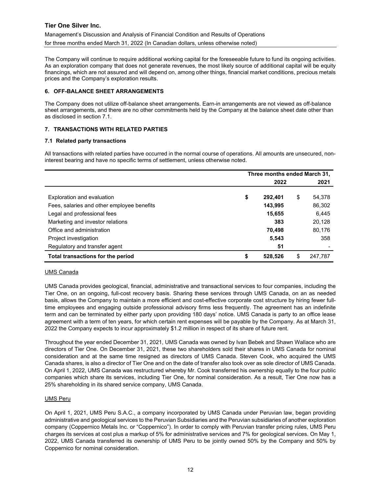Management's Discussion and Analysis of Financial Condition and Results of Operations for three months ended March 31, 2022 (In Canadian dollars, unless otherwise noted)

The Company will continue to require additional working capital for the foreseeable future to fund its ongoing activities. As an exploration company that does not generate revenues, the most likely source of additional capital will be equity financings, which are not assured and will depend on, among other things, financial market conditions, precious metals prices and the Company's exploration results.

## 6. OFF-BALANCE SHEET ARRANGEMENTS

The Company does not utilize off-balance sheet arrangements. Earn-in arrangements are not viewed as off-balance sheet arrangements, and there are no other commitments held by the Company at the balance sheet date other than as disclosed in section 7.1.

# 7. TRANSACTIONS WITH RELATED PARTIES

## 7.1 Related party transactions

All transactions with related parties have occurred in the normal course of operations. All amounts are unsecured, noninterest bearing and have no specific terms of settlement, unless otherwise noted.

|                                            | Three months ended March 31, |         |    |         |
|--------------------------------------------|------------------------------|---------|----|---------|
|                                            |                              | 2022    |    | 2021    |
| Exploration and evaluation                 | \$                           | 292,401 | \$ | 54,378  |
| Fees, salaries and other employee benefits |                              | 143,995 |    | 86,302  |
| Legal and professional fees                |                              | 15,655  |    | 6,445   |
| Marketing and investor relations           |                              | 383     |    | 20,128  |
| Office and administration                  |                              | 70,498  |    | 80,176  |
| Project investigation                      |                              | 5,543   |    | 358     |
| Regulatory and transfer agent              |                              | 51      |    |         |
| Total transactions for the period          | \$                           | 528.526 | S  | 247.787 |

#### UMS Canada

UMS Canada provides geological, financial, administrative and transactional services to four companies, including the Tier One, on an ongoing, full-cost recovery basis. Sharing these services through UMS Canada, on an as needed basis, allows the Company to maintain a more efficient and cost-effective corporate cost structure by hiring fewer fulltime employees and engaging outside professional advisory firms less frequently. The agreement has an indefinite term and can be terminated by either party upon providing 180 days' notice. UMS Canada is party to an office lease agreement with a term of ten years, for which certain rent expenses will be payable by the Company. As at March 31, 2022 the Company expects to incur approximately \$1.2 million in respect of its share of future rent.

Throughout the year ended December 31, 2021, UMS Canada was owned by Ivan Bebek and Shawn Wallace who are directors of Tier One. On December 31, 2021, these two shareholders sold their shares in UMS Canada for nominal consideration and at the same time resigned as directors of UMS Canada. Steven Cook, who acquired the UMS Canada shares, is also a director of Tier One and on the date of transfer also took over as sole director of UMS Canada. On April 1, 2022, UMS Canada was restructured whereby Mr. Cook transferred his ownership equally to the four public companies which share its services, including Tier One, for nominal consideration. As a result, Tier One now has a 25% shareholding in its shared service company, UMS Canada.

#### UMS Peru

On April 1, 2021, UMS Peru S.A.C., a company incorporated by UMS Canada under Peruvian law, began providing administrative and geological services to the Peruvian Subsidiaries and the Peruvian subsidiaries of another exploration company (Coppernico Metals Inc. or "Coppernico"). In order to comply with Peruvian transfer pricing rules, UMS Peru charges its services at cost plus a markup of 5% for administrative services and 7% for geological services. On May 1, 2022, UMS Canada transferred its ownership of UMS Peru to be jointly owned 50% by the Company and 50% by Coppernico for nominal consideration.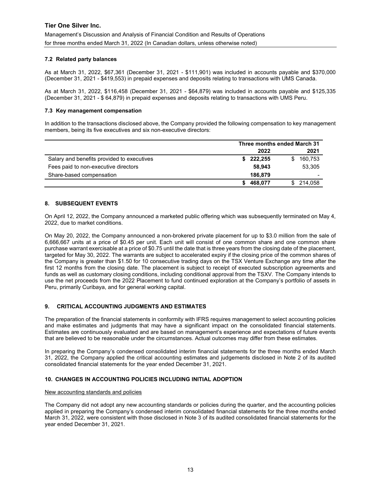# 7.2 Related party balances

As at March 31, 2022, \$67,361 (December 31, 2021 - \$111,901) was included in accounts payable and \$370,000 (December 31, 2021 - \$419,553) in prepaid expenses and deposits relating to transactions with UMS Canada.

As at March 31, 2022, \$116,458 (December 31, 2021 - \$64,879) was included in accounts payable and \$125,335 (December 31, 2021 - \$ 64,879) in prepaid expenses and deposits relating to transactions with UMS Peru.

#### 7.3 Key management compensation

In addition to the transactions disclosed above, the Company provided the following compensation to key management members, being its five executives and six non-executive directors:

|                                            | Three months ended March 31 |         |  |  |
|--------------------------------------------|-----------------------------|---------|--|--|
|                                            | 2022                        | 2021    |  |  |
| Salary and benefits provided to executives | 222,255<br>S.               | 160,753 |  |  |
| Fees paid to non-executive directors       | 58.943                      | 53,305  |  |  |
| Share-based compensation                   | 186.879                     |         |  |  |
|                                            | 468,077                     | 214.058 |  |  |

# 8. SUBSEQUENT EVENTS

On April 12, 2022, the Company announced a marketed public offering which was subsequently terminated on May 4, 2022, due to market conditions.

On May 20, 2022, the Company announced a non-brokered private placement for up to \$3.0 million from the sale of 6,666,667 units at a price of \$0.45 per unit. Each unit will consist of one common share and one common share purchase warrant exercisable at a price of \$0.75 until the date that is three years from the closing date of the placement, targeted for May 30, 2022. The warrants are subject to accelerated expiry if the closing price of the common shares of the Company is greater than \$1.50 for 10 consecutive trading days on the TSX Venture Exchange any time after the first 12 months from the closing date. The placement is subject to receipt of executed subscription agreements and funds as well as customary closing conditions, including conditional approval from the TSXV. The Company intends to use the net proceeds from the 2022 Placement to fund continued exploration at the Company's portfolio of assets in Peru, primarily Curibaya, and for general working capital.

# 9. CRITICAL ACCOUNTING JUDGMENTS AND ESTIMATES

The preparation of the financial statements in conformity with IFRS requires management to select accounting policies and make estimates and judgments that may have a significant impact on the consolidated financial statements. Estimates are continuously evaluated and are based on management's experience and expectations of future events that are believed to be reasonable under the circumstances. Actual outcomes may differ from these estimates.

In preparing the Company's condensed consolidated interim financial statements for the three months ended March 31, 2022, the Company applied the critical accounting estimates and judgements disclosed in Note 2 of its audited consolidated financial statements for the year ended December 31, 2021.

# 10. CHANGES IN ACCOUNTING POLICIES INCLUDING INITIAL ADOPTION

#### New accounting standards and policies

The Company did not adopt any new accounting standards or policies during the quarter, and the accounting policies applied in preparing the Company's condensed interim consolidated financial statements for the three months ended March 31, 2022, were consistent with those disclosed in Note 3 of its audited consolidated financial statements for the year ended December 31, 2021.